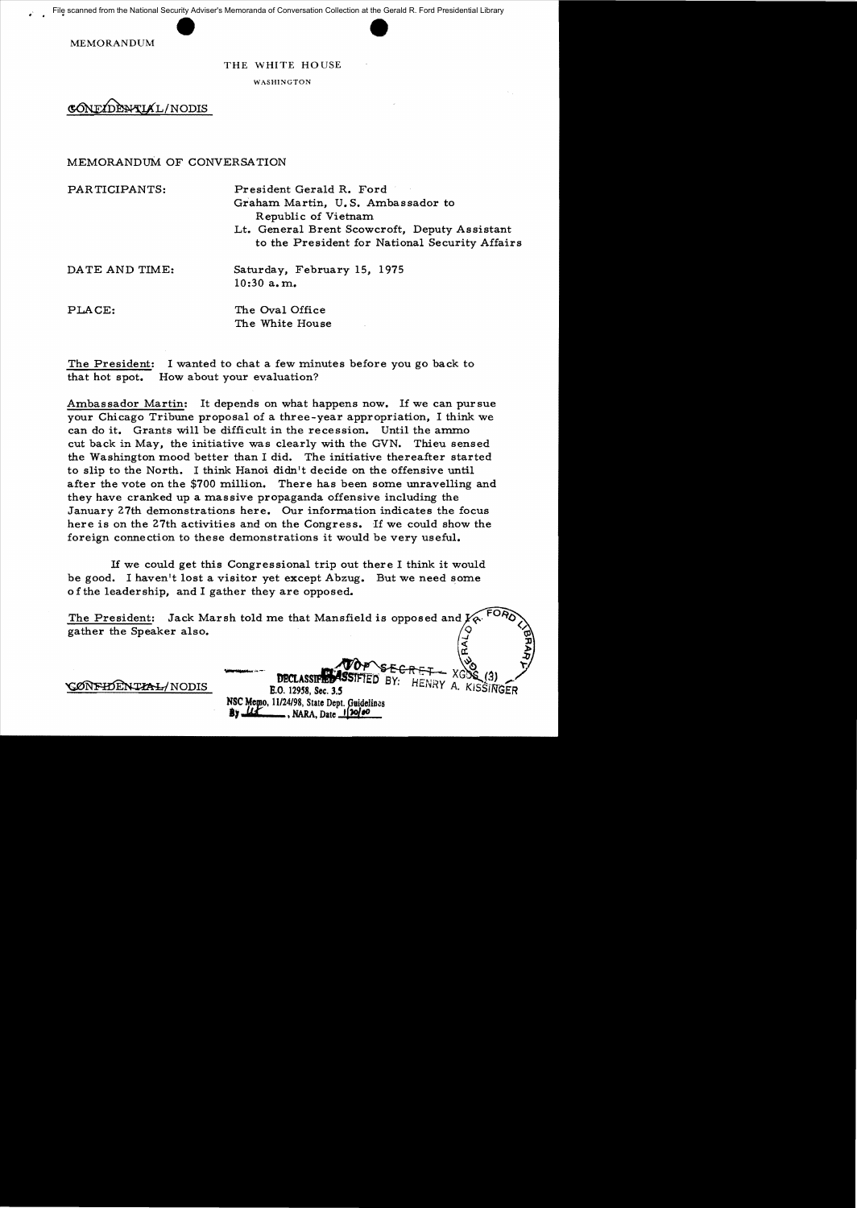MEMORANDUM

THE WHITE HOUSE

WASHINGTON

GONEZDENTIAL/NODIS

## MEMORANDuM OF CONVERSATION

PARTICIPANTS: President Gerald R. Ford

Graham Martin, U. S. Ambassador to Republic of Vietnam

Lt. General Brent Scowcroft, Deputy Assistant to the President for National Security Affairs

 $\prec$ 

 $\frac{1}{2}$ 

DATE AND TIME: Saturday, February 15, 1975 10:30 a. m.

PLACE: The Oval Office The White House

The President: I wanted to chat a few minutes before you go back to that hot spot. How about your evaluation?

Ambassador Martin: It depends on what happens now. If we can pursue your Chicago Tribune proposal of a three-year appropriation, I think we can do it. Grants will be difficult in the recession. Until the ammo cut back in May, the initiative was clearly with the GVN. Thieu sensed the Washington mood better than I did. The initiative thereafter started to slip to the North. I think Hanoi didn't decide on the offensive until after the vote on the \$700 million. There has been some unravelling and they have cranked up a massive propaganda offensive including the January 27th demonstrations here. Our information indicates the focus here is on the 27th activities and on the Congress. If we could show the foreign connection to these demonstrations it would be very useful.

If we could get this Congressional trip out there I think it would be good. I haven't lost a visitor yet except Abzug. But we need some of the leadership, and I gather they are opposed.

The President: Jack Marsh told me that Mansfield is opposed and  $\boldsymbol{\varPsi}$ gather the Speaker also.

NSC Memo, 11/24/98, State Dept. Guidelines

., NARA, Date 120/00

 $V$ OP SECRET  $X$ GOS (3)

**DECLASSIFIED BY:** HENRY A. KISSINGER<br>B.O. 12958, Sec. 3.5 ENRY A. KISSINGER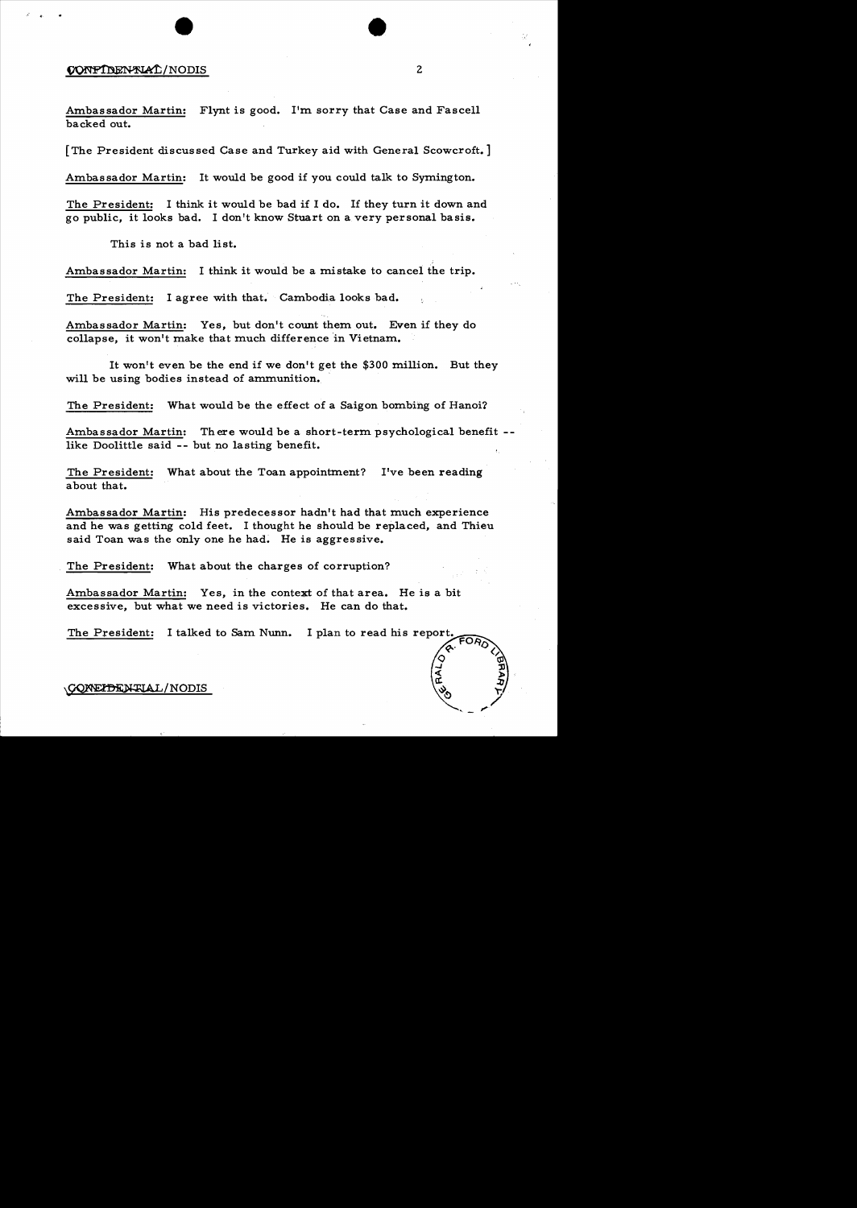## CONFIDENTIAL/NODIS 2

Ambassador Martin: Flynt is good. I'm sorry that Case and Fascell backed out.

[The President discussed Case and Turkey aid with General Scowcroft.]

Ambassador Martin: It would be good if you could talk to Symington.

The President: I think it would be bad if I do. If they turn it down and go public, it looks bad. I don't know Stuart on a very personal basis.

This is not a bad list.

Ambassador Martin: I think it would be a mistake to cancel the trip.

The President: I agree with that. Cambodia looks bad.

Ambassador Martin: Yes, but don't count them out. Even if they do collapse, it won't make that much difference in Vietnam.

It won't even be the end if we don't get the \$300 million. But they will be using bodies instead of ammunition.

The President: What would be the effect of a Saigon bombing of Hanoi?

Ambassador Martin: There would be a short-term psychological benefit -like Doolittle said -- but no lasting benefit.

The President: What about the Toan appointment? I've been reading about that.

Ambassador Martin: His predecessor hadn't had that much experience and he was getting cold feet. I thought he should be replaced, and Thieu said Toan was the only one he had. He is aggressive.

The President: What about the charges of corruption?

Ambassador Martin: Yes, in the context of that area. He is a bit excessive, but what we need is victories. He can do that.

The President: I talked to Sam Nunn.

\CONEIDENTIAL/NODIS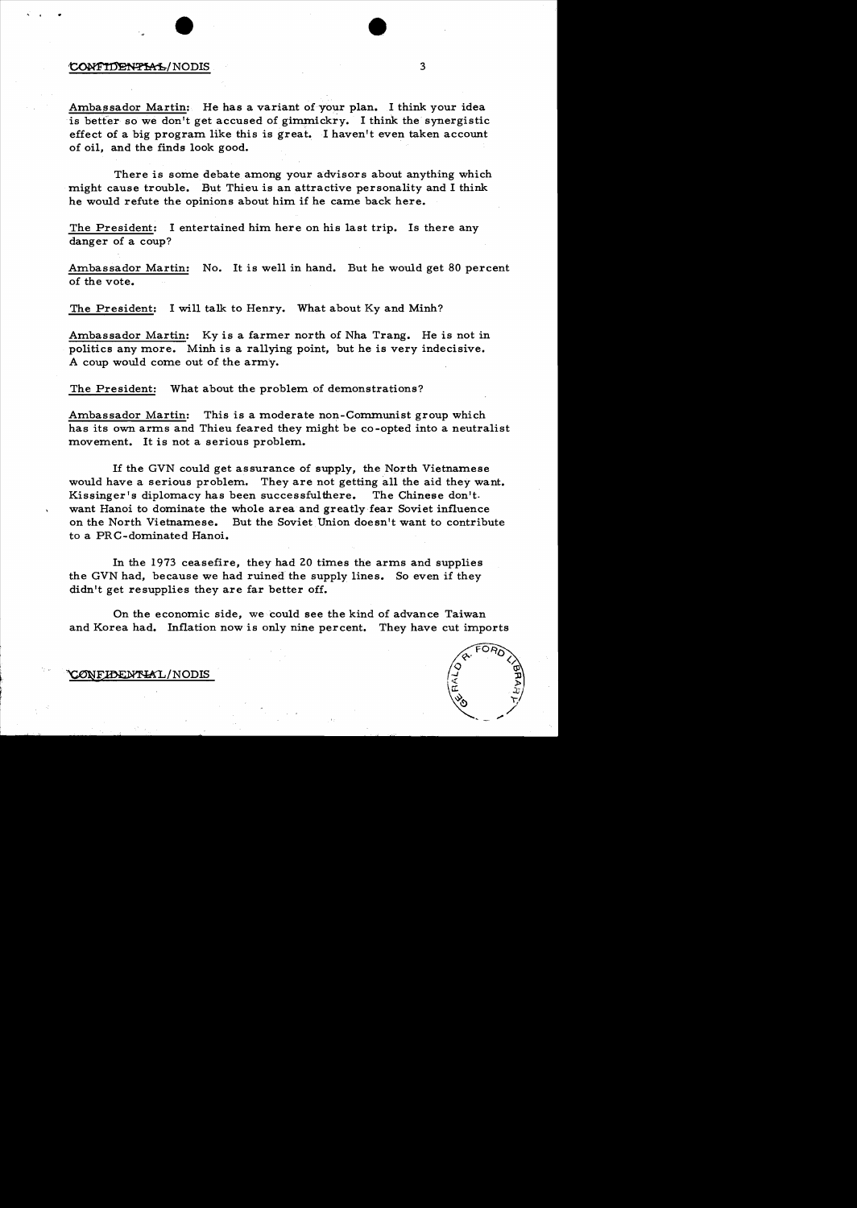## ~/NODIS <sup>3</sup>

 $\zeta_{\rm eff}$ 

Ambassador Martin: He has a variant of your plan. I think your idea is better so we don't get accused of gimmickry. I think the synergistic effect of a big program like this is great. I haven't even taken account of oil, and the finds look good.

There is some debate among your advisors about anything which might cause trouble. But Thieu is an attractive personality and I think he would refute the opinions about him if he came back here.

The President: I entertained him here on his last trip. Is there any danger of a coup?

Ambassador Martin: No. It is well in hand. But he would get 80 percent of the vote.

The President: I will talk to Henry. What about Ky and Minh?

Ambassador Martin: Ky is a farmer north of Nha Trang. He is not in politics any more. Minh is a rallying point, but he is very indecisive. A coup would come out of the army.

The President: What about the problem of demonstrations?

Ambassador Martin: This is a moderate non-Communist group which has its own arms and Thieu feared they might be co-opted into a neutralist movement. It is not a serious problem.

If the GVN could get assurance of supply, the North Vietnamese would have a serious problem. They are not getting all the aid they want. Kissinger's diplomacy has been successfulthere. The Chinese don't. want Hanoi to dominate the whole area and greatly fear Soviet influence on the North Vietnamese. But the Soviet Union doesn't want to contribute to a PRC-dominated Hanoi.

In the 1973 ceasefire, they had 20 times the arms and supplies the GVN had, because we had ruined the supply lines. So even if they didn't get resupplies they are far better off.

On the economic side, we could see the kind of advance Taiwan and Korea had. Inflation now is only nine percent. They have cut imports



20NFIDENTIAL/NODIS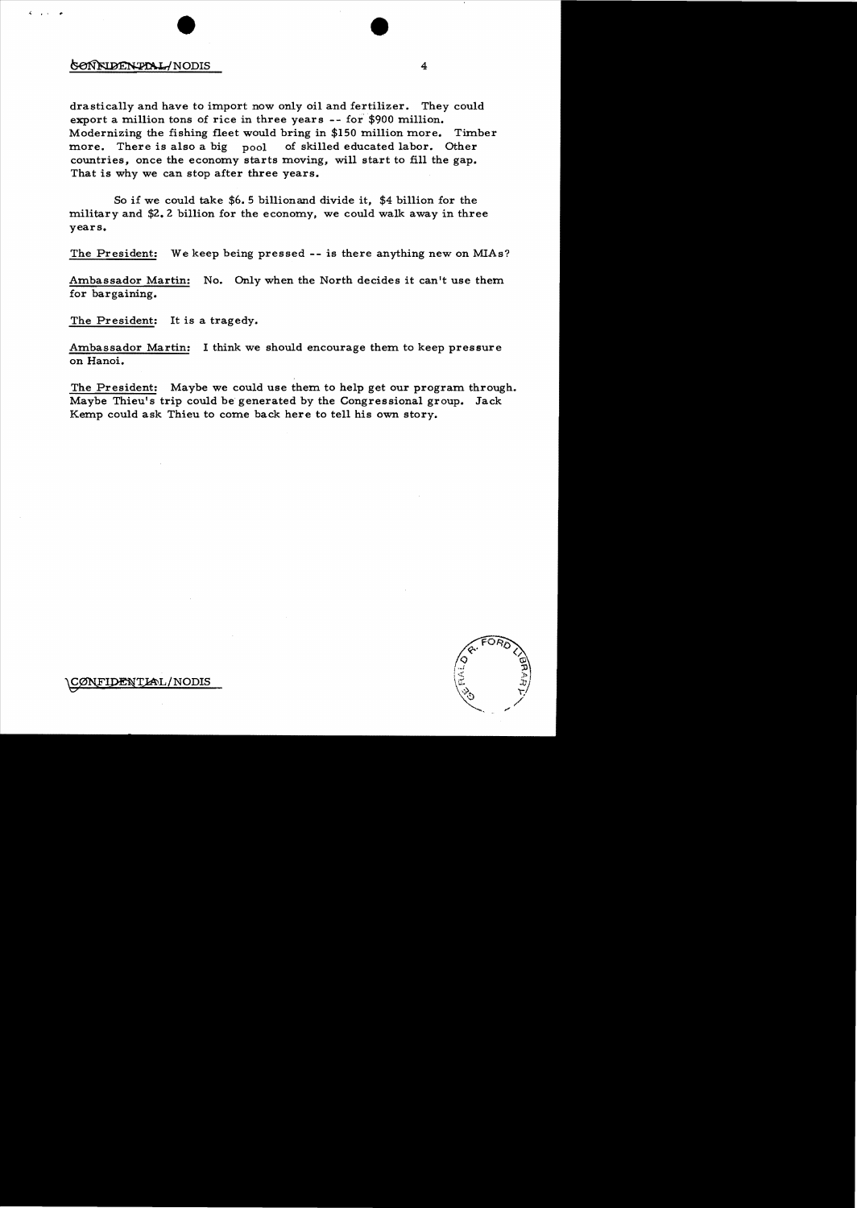## ~NODIS <sup>4</sup>

 $\cdot$  " $\cdot$ 

drastically and have to import now only oil and fertilizer. They could export a million tons of rice in three years -- for \$900 million. Modernizing the fishing fleet would bring in \$150 million more. Timber more. There is also a big pool of skilled educated labor. Other countries, once the economy starts moving, will start to fill the gap. That is why we can stop after three years.

So if we could take \$6. 5 billionand divide it, \$4 billion for the military and \$2.2 billion for the economy, we could walk away in three years.

The President: We keep being pressed **--** is there anything new on MIAs?

Ambassador Martin: No. Only when the North decides it can't use them for bargaining.

The President: It is a tragedy.

Ambassador Martin: I think we should encourage them to keep pressure on Hanoi.

The President: Maybe we could use them to help get our program through. Maybe Thieu's trip could be generated by the Congressional group. Jack Kemp could ask Thieu to come back here to tell his own story.

FI**DENTIA**L/NODIS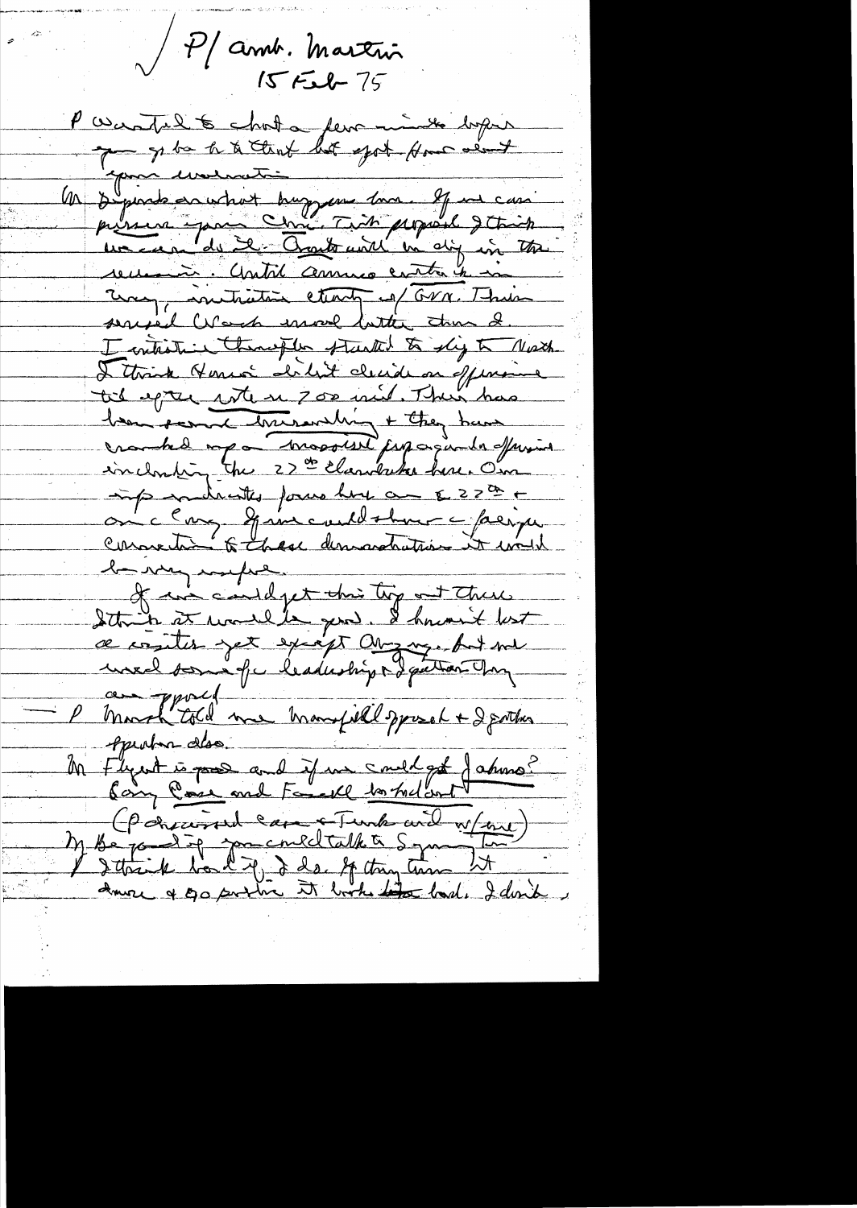P amb. Martin

P Wantel to chost a few mint before 1 spirat a to the lit got for and recemment. Contrib commes contra en in Euro , initiative starty of GVN. Their seried Work more butter than 2. I entiretime themsefler started to slig to North I think Homes dilit cliende on offering til epter site se 700 mil. Then has been scenach burrandling + they have crambed mpa massiere jusquande afferment incloseding the 23 th Elandriche here. On inspirationnelles forme hour au E229 + be very marked. of in could get this top at there Sthin at would gend. I hnout lest ce conjuter yet excépt august put me au pport i manifield pport + 2 porter Apurton des. Mr Flywt is poor and if we smelget fature? M Be participal can & Tumber and W/me)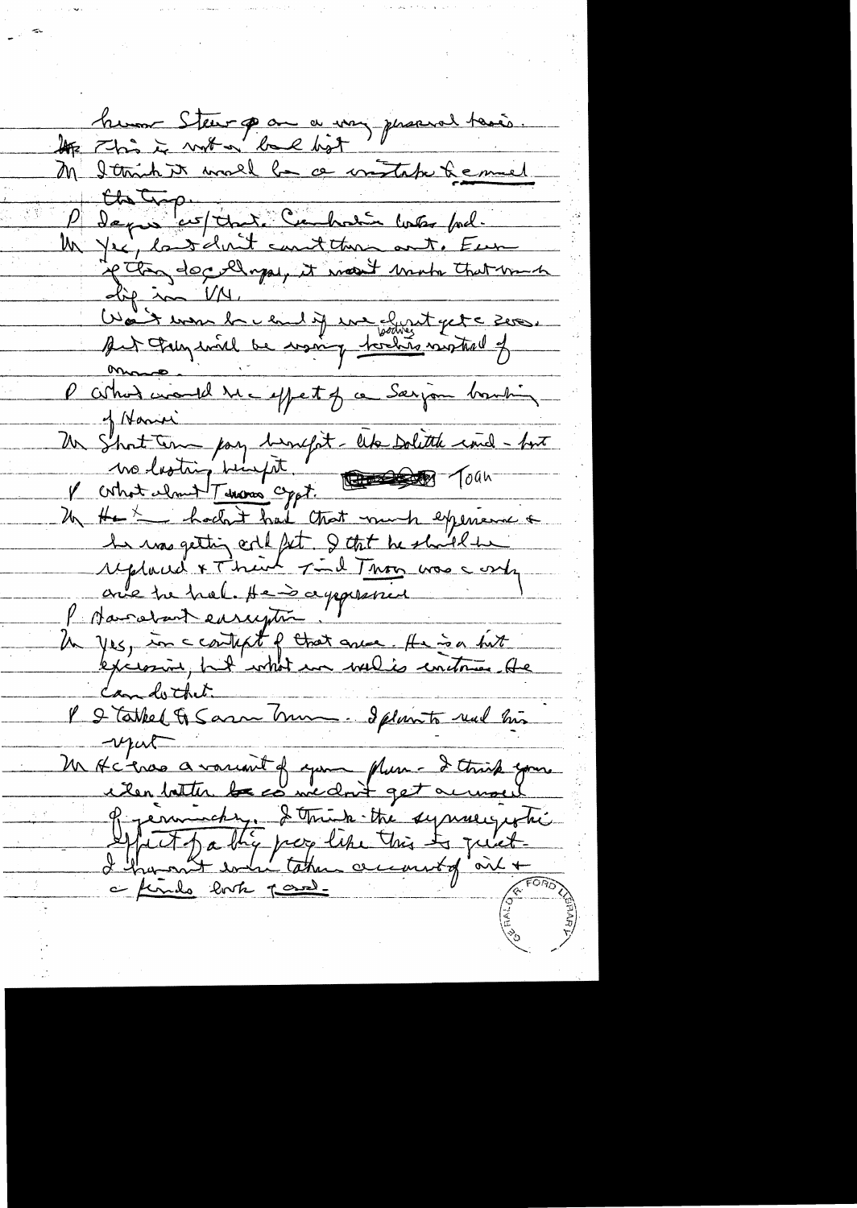hum Stew par a voy personal taxés. Clating corporation was food. Work was be early in but get a ser.<br>Aut Pregantel be want fortin motored of Un Short time pay brought like solith and - for Un yes, in ccontext of that area. He is a first l l'abbel & Saan Trum. I plainte ruel his  $-\nu \mu \nu$ M Actres avancent of your plum- I think you.<br>ilen latter la co me dont get accused<br>of permischer, I think the syncerization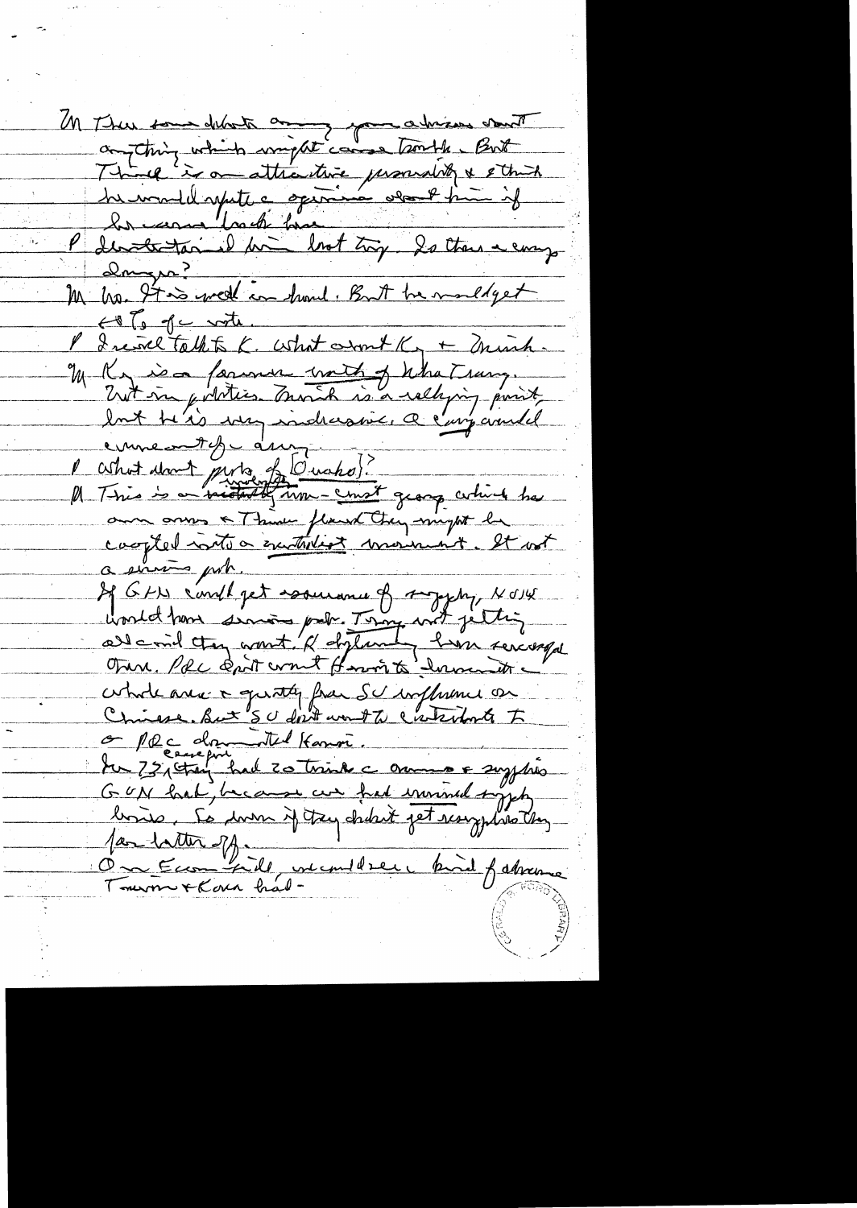M There some delate any your adviser sont augthing which wright cause trouble. But Think is an attractive personality & other<br>he would repete a opinion other him if<br>In comme look him look try to there a every Dougre?<br>M Me 9700 well in hund. But he maldyet  $H$   $g$  of  $C$  with  $\ldots$ P Inince talkte K. What won't K + minh. our annes & Think fland Ching might la capted initio executive moment. It ast a simmo por. If GFN c'enthpet assurance of supply, NOW unid hom since pour Tony wit jetting Onn. Por cont comt form to low it cohode avec a quater fram Schaffmeni on O Plc donnatel Harron. du 75, tag had 20 trink à moment escription GUN had, because ces fred imined types fan tatter off. 1 in the fatherne